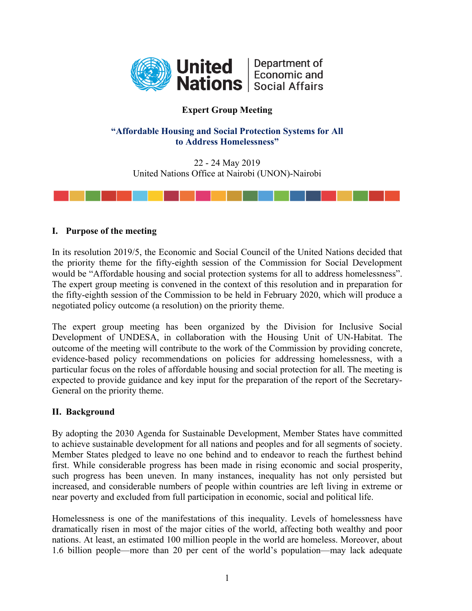

# **Expert Group Meeting**

# **"Affordable Housing and Social Protection Systems for All to Address Homelessness"**

22 - 24 May 2019 United Nations Office at Nairobi (UNON)-Nairobi



### **I. Purpose of the meeting**

In its resolution 2019/5, the Economic and Social Council of the United Nations decided that the priority theme for the fifty-eighth session of the Commission for Social Development would be "Affordable housing and social protection systems for all to address homelessness". The expert group meeting is convened in the context of this resolution and in preparation for the fifty-eighth session of the Commission to be held in February 2020, which will produce a negotiated policy outcome (a resolution) on the priority theme.

The expert group meeting has been organized by the Division for Inclusive Social Development of UNDESA, in collaboration with the Housing Unit of UN-Habitat. The outcome of the meeting will contribute to the work of the Commission by providing concrete, evidence-based policy recommendations on policies for addressing homelessness, with a particular focus on the roles of affordable housing and social protection for all. The meeting is expected to provide guidance and key input for the preparation of the report of the Secretary-General on the priority theme.

# **II. Background**

By adopting the 2030 Agenda for Sustainable Development, Member States have committed to achieve sustainable development for all nations and peoples and for all segments of society. Member States pledged to leave no one behind and to endeavor to reach the furthest behind first. While considerable progress has been made in rising economic and social prosperity, such progress has been uneven. In many instances, inequality has not only persisted but increased, and considerable numbers of people within countries are left living in extreme or near poverty and excluded from full participation in economic, social and political life.

Homelessness is one of the manifestations of this inequality. Levels of homelessness have dramatically risen in most of the major cities of the world, affecting both wealthy and poor nations. At least, an estimated 100 million people in the world are homeless. Moreover, about 1.6 billion people—more than 20 per cent of the world's population—may lack adequate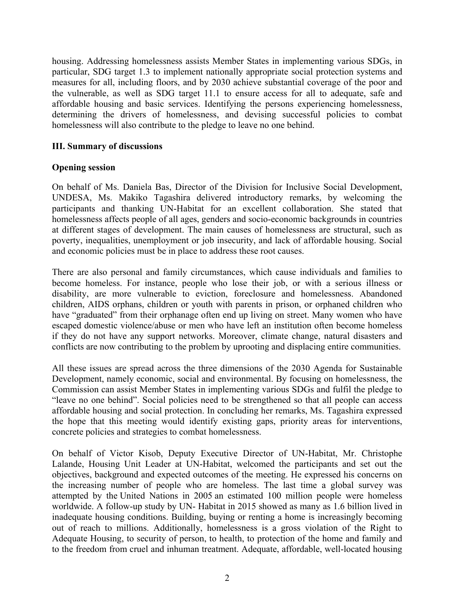housing. Addressing homelessness assists Member States in implementing various SDGs, in particular, SDG target 1.3 to implement nationally appropriate social protection systems and measures for all, including floors, and by 2030 achieve substantial coverage of the poor and the vulnerable, as well as SDG target 11.1 to ensure access for all to adequate, safe and affordable housing and basic services. Identifying the persons experiencing homelessness, determining the drivers of homelessness, and devising successful policies to combat homelessness will also contribute to the pledge to leave no one behind.

### **III. Summary of discussions**

### **Opening session**

On behalf of Ms. Daniela Bas, Director of the Division for Inclusive Social Development, UNDESA, Ms. Makiko Tagashira delivered introductory remarks, by welcoming the participants and thanking UN-Habitat for an excellent collaboration. She stated that homelessness affects people of all ages, genders and socio-economic backgrounds in countries at different stages of development. The main causes of homelessness are structural, such as poverty, inequalities, unemployment or job insecurity, and lack of affordable housing. Social and economic policies must be in place to address these root causes.

There are also personal and family circumstances, which cause individuals and families to become homeless. For instance, people who lose their job, or with a serious illness or disability, are more vulnerable to eviction, foreclosure and homelessness. Abandoned children, AIDS orphans, children or youth with parents in prison, or orphaned children who have "graduated" from their orphanage often end up living on street. Many women who have escaped domestic violence/abuse or men who have left an institution often become homeless if they do not have any support networks. Moreover, climate change, natural disasters and conflicts are now contributing to the problem by uprooting and displacing entire communities.

All these issues are spread across the three dimensions of the 2030 Agenda for Sustainable Development, namely economic, social and environmental. By focusing on homelessness, the Commission can assist Member States in implementing various SDGs and fulfil the pledge to "leave no one behind". Social policies need to be strengthened so that all people can access affordable housing and social protection. In concluding her remarks, Ms. Tagashira expressed the hope that this meeting would identify existing gaps, priority areas for interventions, concrete policies and strategies to combat homelessness.

On behalf of Victor Kisob, Deputy Executive Director of UN-Habitat, Mr. Christophe Lalande, Housing Unit Leader at UN-Habitat, welcomed the participants and set out the objectives, background and expected outcomes of the meeting. He expressed his concerns on the increasing number of people who are homeless. The last time a global survey was attempted by the United Nations in 2005 an estimated 100 million people were homeless worldwide. A follow-up study by UN- Habitat in 2015 showed as many as 1.6 billion lived in inadequate housing conditions. Building, buying or renting a home is increasingly becoming out of reach to millions. Additionally, homelessness is a gross violation of the Right to Adequate Housing, to security of person, to health, to protection of the home and family and to the freedom from cruel and inhuman treatment. Adequate, affordable, well-located housing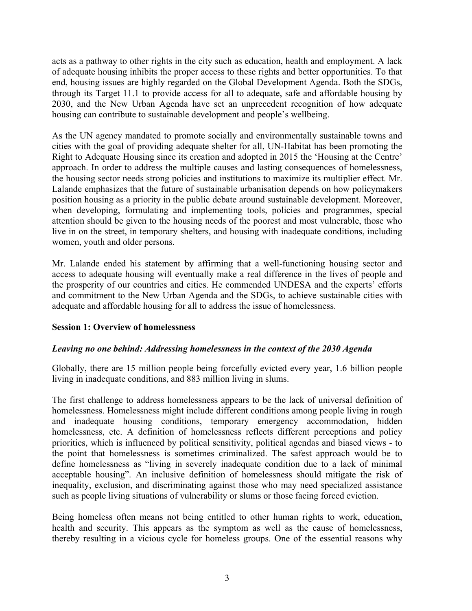acts as a pathway to other rights in the city such as education, health and employment. A lack of adequate housing inhibits the proper access to these rights and better opportunities. To that end, housing issues are highly regarded on the Global Development Agenda. Both the SDGs, through its Target 11.1 to provide access for all to adequate, safe and affordable housing by 2030, and the New Urban Agenda have set an unprecedent recognition of how adequate housing can contribute to sustainable development and people's wellbeing.

As the UN agency mandated to promote socially and environmentally sustainable towns and cities with the goal of providing adequate shelter for all, UN-Habitat has been promoting the Right to Adequate Housing since its creation and adopted in 2015 the 'Housing at the Centre' approach. In order to address the multiple causes and lasting consequences of homelessness, the housing sector needs strong policies and institutions to maximize its multiplier effect. Mr. Lalande emphasizes that the future of sustainable urbanisation depends on how policymakers position housing as a priority in the public debate around sustainable development. Moreover, when developing, formulating and implementing tools, policies and programmes, special attention should be given to the housing needs of the poorest and most vulnerable, those who live in on the street, in temporary shelters, and housing with inadequate conditions, including women, youth and older persons.

Mr. Lalande ended his statement by affirming that a well-functioning housing sector and access to adequate housing will eventually make a real difference in the lives of people and the prosperity of our countries and cities. He commended UNDESA and the experts' efforts and commitment to the New Urban Agenda and the SDGs, to achieve sustainable cities with adequate and affordable housing for all to address the issue of homelessness.

#### **Session 1: Overview of homelessness**

#### *Leaving no one behind: Addressing homelessness in the context of the 2030 Agenda*

Globally, there are 15 million people being forcefully evicted every year, 1.6 billion people living in inadequate conditions, and 883 million living in slums.

The first challenge to address homelessness appears to be the lack of universal definition of homelessness. Homelessness might include different conditions among people living in rough and inadequate housing conditions, temporary emergency accommodation, hidden homelessness, etc. A definition of homelessness reflects different perceptions and policy priorities, which is influenced by political sensitivity, political agendas and biased views - to the point that homelessness is sometimes criminalized. The safest approach would be to define homelessness as "living in severely inadequate condition due to a lack of minimal acceptable housing". An inclusive definition of homelessness should mitigate the risk of inequality, exclusion, and discriminating against those who may need specialized assistance such as people living situations of vulnerability or slums or those facing forced eviction.

Being homeless often means not being entitled to other human rights to work, education, health and security. This appears as the symptom as well as the cause of homelessness, thereby resulting in a vicious cycle for homeless groups. One of the essential reasons why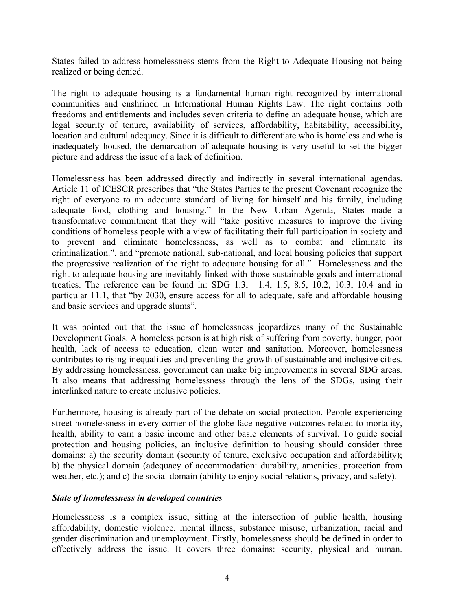States failed to address homelessness stems from the Right to Adequate Housing not being realized or being denied.

The right to adequate housing is a fundamental human right recognized by international communities and enshrined in International Human Rights Law. The right contains both freedoms and entitlements and includes seven criteria to define an adequate house, which are legal security of tenure, availability of services, affordability, habitability, accessibility, location and cultural adequacy. Since it is difficult to differentiate who is homeless and who is inadequately housed, the demarcation of adequate housing is very useful to set the bigger picture and address the issue of a lack of definition.

Homelessness has been addressed directly and indirectly in several international agendas. Article 11 of ICESCR prescribes that "the States Parties to the present Covenant recognize the right of everyone to an adequate standard of living for himself and his family, including adequate food, clothing and housing." In the New Urban Agenda, States made a transformative commitment that they will "take positive measures to improve the living conditions of homeless people with a view of facilitating their full participation in society and to prevent and eliminate homelessness, as well as to combat and eliminate its criminalization.", and "promote national, sub-national, and local housing policies that support the progressive realization of the right to adequate housing for all." Homelessness and the right to adequate housing are inevitably linked with those sustainable goals and international treaties. The reference can be found in: SDG 1.3, 1.4, 1.5, 8.5, 10.2, 10.3, 10.4 and in particular 11.1, that "by 2030, ensure access for all to adequate, safe and affordable housing and basic services and upgrade slums".

It was pointed out that the issue of homelessness jeopardizes many of the Sustainable Development Goals. A homeless person is at high risk of suffering from poverty, hunger, poor health, lack of access to education, clean water and sanitation. Moreover, homelessness contributes to rising inequalities and preventing the growth of sustainable and inclusive cities. By addressing homelessness, government can make big improvements in several SDG areas. It also means that addressing homelessness through the lens of the SDGs, using their interlinked nature to create inclusive policies.

Furthermore, housing is already part of the debate on social protection. People experiencing street homelessness in every corner of the globe face negative outcomes related to mortality, health, ability to earn a basic income and other basic elements of survival. To guide social protection and housing policies, an inclusive definition to housing should consider three domains: a) the security domain (security of tenure, exclusive occupation and affordability); b) the physical domain (adequacy of accommodation: durability, amenities, protection from weather, etc.); and c) the social domain (ability to enjoy social relations, privacy, and safety).

#### *State of homelessness in developed countries*

Homelessness is a complex issue, sitting at the intersection of public health, housing affordability, domestic violence, mental illness, substance misuse, urbanization, racial and gender discrimination and unemployment. Firstly, homelessness should be defined in order to effectively address the issue. It covers three domains: security, physical and human.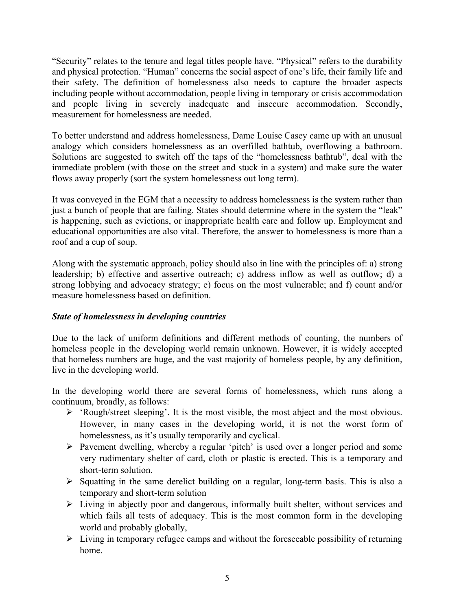"Security" relates to the tenure and legal titles people have. "Physical" refers to the durability and physical protection. "Human" concerns the social aspect of one's life, their family life and their safety. The definition of homelessness also needs to capture the broader aspects including people without accommodation, people living in temporary or crisis accommodation and people living in severely inadequate and insecure accommodation. Secondly, measurement for homelessness are needed

To better understand and address homelessness, Dame Louise Casey came up with an unusual analogy which considers homelessness as an overfilled bathtub, overflowing a bathroom. Solutions are suggested to switch off the taps of the "homelessness bathtub", deal with the immediate problem (with those on the street and stuck in a system) and make sure the water flows away properly (sort the system homelessness out long term).

It was conveyed in the EGM that a necessity to address homelessness is the system rather than just a bunch of people that are failing. States should determine where in the system the "leak" is happening, such as evictions, or inappropriate health care and follow up. Employment and educational opportunities are also vital. Therefore, the answer to homelessness is more than a roof and a cup of soup.

Along with the systematic approach, policy should also in line with the principles of: a) strong leadership; b) effective and assertive outreach; c) address inflow as well as outflow; d) a strong lobbying and advocacy strategy; e) focus on the most vulnerable; and f) count and/or measure homelessness based on definition.

# *State of homelessness in developing countries*

Due to the lack of uniform definitions and different methods of counting, the numbers of homeless people in the developing world remain unknown. However, it is widely accepted that homeless numbers are huge, and the vast majority of homeless people, by any definition, live in the developing world.

In the developing world there are several forms of homelessness, which runs along a continuum, broadly, as follows:

- 'Rough/street sleeping'. It is the most visible, the most abject and the most obvious. However, in many cases in the developing world, it is not the worst form of homelessness, as it's usually temporarily and cyclical.
- $\triangleright$  Pavement dwelling, whereby a regular 'pitch' is used over a longer period and some very rudimentary shelter of card, cloth or plastic is erected. This is a temporary and short-term solution.
- $\triangleright$  Squatting in the same derelict building on a regular, long-term basis. This is also a temporary and short-term solution
- $\triangleright$  Living in abjectly poor and dangerous, informally built shelter, without services and which fails all tests of adequacy. This is the most common form in the developing world and probably globally,
- $\triangleright$  Living in temporary refugee camps and without the foreseeable possibility of returning home.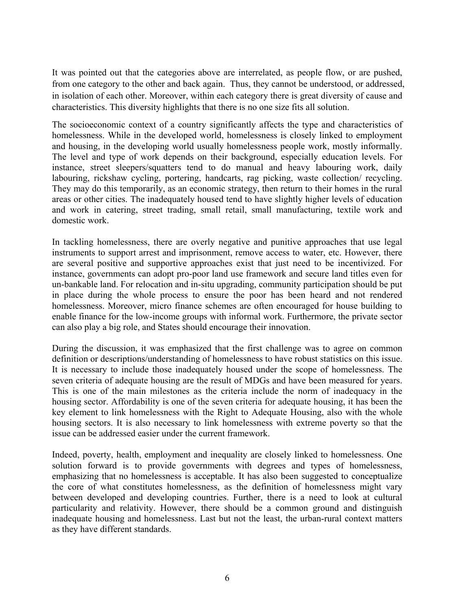It was pointed out that the categories above are interrelated, as people flow, or are pushed, from one category to the other and back again. Thus, they cannot be understood, or addressed, in isolation of each other. Moreover, within each category there is great diversity of cause and characteristics. This diversity highlights that there is no one size fits all solution.

The socioeconomic context of a country significantly affects the type and characteristics of homelessness. While in the developed world, homelessness is closely linked to employment and housing, in the developing world usually homelessness people work, mostly informally. The level and type of work depends on their background, especially education levels. For instance, street sleepers/squatters tend to do manual and heavy labouring work, daily labouring, rickshaw cycling, portering, handcarts, rag picking, waste collection/ recycling. They may do this temporarily, as an economic strategy, then return to their homes in the rural areas or other cities. The inadequately housed tend to have slightly higher levels of education and work in catering, street trading, small retail, small manufacturing, textile work and domestic work.

In tackling homelessness, there are overly negative and punitive approaches that use legal instruments to support arrest and imprisonment, remove access to water, etc. However, there are several positive and supportive approaches exist that just need to be incentivized. For instance, governments can adopt pro-poor land use framework and secure land titles even for un-bankable land. For relocation and in-situ upgrading, community participation should be put in place during the whole process to ensure the poor has been heard and not rendered homelessness. Moreover, micro finance schemes are often encouraged for house building to enable finance for the low-income groups with informal work. Furthermore, the private sector can also play a big role, and States should encourage their innovation.

During the discussion, it was emphasized that the first challenge was to agree on common definition or descriptions/understanding of homelessness to have robust statistics on this issue. It is necessary to include those inadequately housed under the scope of homelessness. The seven criteria of adequate housing are the result of MDGs and have been measured for years. This is one of the main milestones as the criteria include the norm of inadequacy in the housing sector. Affordability is one of the seven criteria for adequate housing, it has been the key element to link homelessness with the Right to Adequate Housing, also with the whole housing sectors. It is also necessary to link homelessness with extreme poverty so that the issue can be addressed easier under the current framework.

Indeed, poverty, health, employment and inequality are closely linked to homelessness. One solution forward is to provide governments with degrees and types of homelessness, emphasizing that no homelessness is acceptable. It has also been suggested to conceptualize the core of what constitutes homelessness, as the definition of homelessness might vary between developed and developing countries. Further, there is a need to look at cultural particularity and relativity. However, there should be a common ground and distinguish inadequate housing and homelessness. Last but not the least, the urban-rural context matters as they have different standards.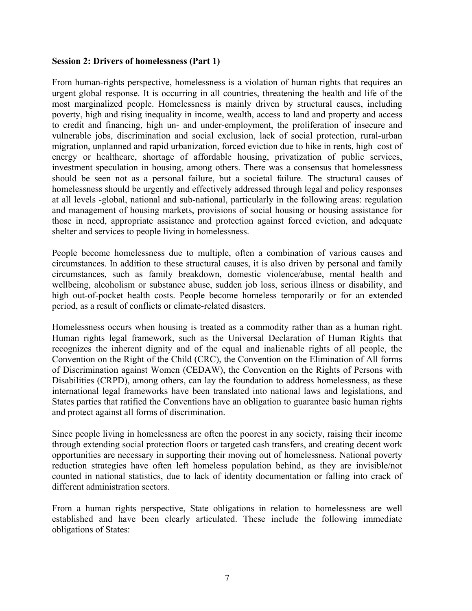#### **Session 2: Drivers of homelessness (Part 1)**

From human-rights perspective, homelessness is a violation of human rights that requires an urgent global response. It is occurring in all countries, threatening the health and life of the most marginalized people. Homelessness is mainly driven by structural causes, including poverty, high and rising inequality in income, wealth, access to land and property and access to credit and financing, high un- and under-employment, the proliferation of insecure and vulnerable jobs, discrimination and social exclusion, lack of social protection, rural-urban migration, unplanned and rapid urbanization, forced eviction due to hike in rents, high cost of energy or healthcare, shortage of affordable housing, privatization of public services, investment speculation in housing, among others. There was a consensus that homelessness should be seen not as a personal failure, but a societal failure. The structural causes of homelessness should be urgently and effectively addressed through legal and policy responses at all levels -global, national and sub-national, particularly in the following areas: regulation and management of housing markets, provisions of social housing or housing assistance for those in need, appropriate assistance and protection against forced eviction, and adequate shelter and services to people living in homelessness.

People become homelessness due to multiple, often a combination of various causes and circumstances. In addition to these structural causes, it is also driven by personal and family circumstances, such as family breakdown, domestic violence/abuse, mental health and wellbeing, alcoholism or substance abuse, sudden job loss, serious illness or disability, and high out-of-pocket health costs. People become homeless temporarily or for an extended period, as a result of conflicts or climate-related disasters.

Homelessness occurs when housing is treated as a commodity rather than as a human right. Human rights legal framework, such as the Universal Declaration of Human Rights that recognizes the inherent dignity and of the equal and inalienable rights of all people, the Convention on the Right of the Child (CRC), the Convention on the Elimination of All forms of Discrimination against Women (CEDAW), the Convention on the Rights of Persons with Disabilities (CRPD), among others, can lay the foundation to address homelessness, as these international legal frameworks have been translated into national laws and legislations, and States parties that ratified the Conventions have an obligation to guarantee basic human rights and protect against all forms of discrimination.

Since people living in homelessness are often the poorest in any society, raising their income through extending social protection floors or targeted cash transfers, and creating decent work opportunities are necessary in supporting their moving out of homelessness. National poverty reduction strategies have often left homeless population behind, as they are invisible/not counted in national statistics, due to lack of identity documentation or falling into crack of different administration sectors.

From a human rights perspective, State obligations in relation to homelessness are well established and have been clearly articulated. These include the following immediate obligations of States: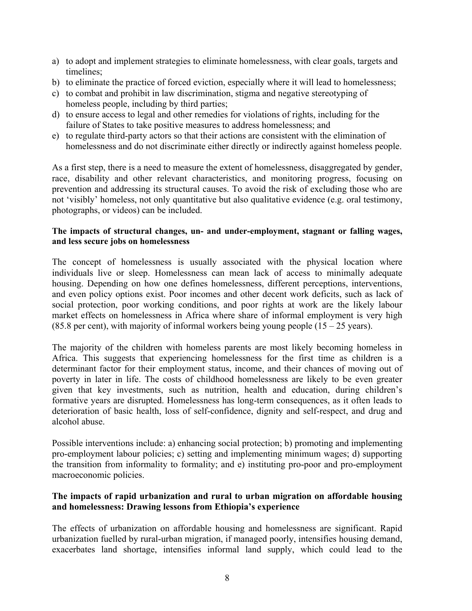- a) to adopt and implement strategies to eliminate homelessness, with clear goals, targets and timelines;
- b) to eliminate the practice of forced eviction, especially where it will lead to homelessness;
- c) to combat and prohibit in law discrimination, stigma and negative stereotyping of homeless people, including by third parties;
- d) to ensure access to legal and other remedies for violations of rights, including for the failure of States to take positive measures to address homelessness; and
- e) to regulate third-party actors so that their actions are consistent with the elimination of homelessness and do not discriminate either directly or indirectly against homeless people.

As a first step, there is a need to measure the extent of homelessness, disaggregated by gender, race, disability and other relevant characteristics, and monitoring progress, focusing on prevention and addressing its structural causes. To avoid the risk of excluding those who are not 'visibly' homeless, not only quantitative but also qualitative evidence (e.g. oral testimony, photographs, or videos) can be included.

### **The impacts of structural changes, un- and under-employment, stagnant or falling wages, and less secure jobs on homelessness**

The concept of homelessness is usually associated with the physical location where individuals live or sleep. Homelessness can mean lack of access to minimally adequate housing. Depending on how one defines homelessness, different perceptions, interventions, and even policy options exist. Poor incomes and other decent work deficits, such as lack of social protection, poor working conditions, and poor rights at work are the likely labour market effects on homelessness in Africa where share of informal employment is very high (85.8 per cent), with majority of informal workers being young people  $(15 - 25$  years).

The majority of the children with homeless parents are most likely becoming homeless in Africa. This suggests that experiencing homelessness for the first time as children is a determinant factor for their employment status, income, and their chances of moving out of poverty in later in life. The costs of childhood homelessness are likely to be even greater given that key investments, such as nutrition, health and education, during children's formative years are disrupted. Homelessness has long-term consequences, as it often leads to deterioration of basic health, loss of self-confidence, dignity and self-respect, and drug and alcohol abuse.

Possible interventions include: a) enhancing social protection; b) promoting and implementing pro-employment labour policies; c) setting and implementing minimum wages; d) supporting the transition from informality to formality; and e) instituting pro-poor and pro-employment macroeconomic policies.

# **The impacts of rapid urbanization and rural to urban migration on affordable housing and homelessness: Drawing lessons from Ethiopia's experience**

The effects of urbanization on affordable housing and homelessness are significant. Rapid urbanization fuelled by rural-urban migration, if managed poorly, intensifies housing demand, exacerbates land shortage, intensifies informal land supply, which could lead to the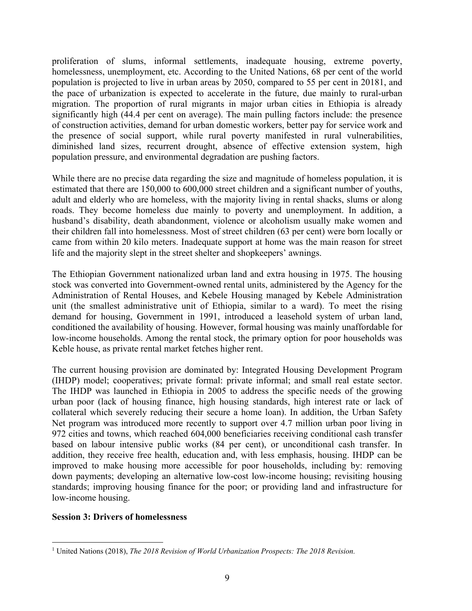proliferation of slums, informal settlements, inadequate housing, extreme poverty, homelessness, unemployment, etc. According to the United Nations, 68 per cent of the world population is projected to live in urban areas by 2050, compared to 55 per cent in 20181, and the pace of urbanization is expected to accelerate in the future, due mainly to rural-urban migration. The proportion of rural migrants in major urban cities in Ethiopia is already significantly high (44.4 per cent on average). The main pulling factors include: the presence of construction activities, demand for urban domestic workers, better pay for service work and the presence of social support, while rural poverty manifested in rural vulnerabilities, diminished land sizes, recurrent drought, absence of effective extension system, high population pressure, and environmental degradation are pushing factors.

While there are no precise data regarding the size and magnitude of homeless population, it is estimated that there are 150,000 to 600,000 street children and a significant number of youths, adult and elderly who are homeless, with the majority living in rental shacks, slums or along roads. They become homeless due mainly to poverty and unemployment. In addition, a husband's disability, death abandonment, violence or alcoholism usually make women and their children fall into homelessness. Most of street children (63 per cent) were born locally or came from within 20 kilo meters. Inadequate support at home was the main reason for street life and the majority slept in the street shelter and shopkeepers' awnings.

The Ethiopian Government nationalized urban land and extra housing in 1975. The housing stock was converted into Government-owned rental units, administered by the Agency for the Administration of Rental Houses, and Kebele Housing managed by Kebele Administration unit (the smallest administrative unit of Ethiopia, similar to a ward). To meet the rising demand for housing, Government in 1991, introduced a leasehold system of urban land, conditioned the availability of housing. However, formal housing was mainly unaffordable for low-income households. Among the rental stock, the primary option for poor households was Keble house, as private rental market fetches higher rent.

The current housing provision are dominated by: Integrated Housing Development Program (IHDP) model; cooperatives; private formal: private informal; and small real estate sector. The IHDP was launched in Ethiopia in 2005 to address the specific needs of the growing urban poor (lack of housing finance, high housing standards, high interest rate or lack of collateral which severely reducing their secure a home loan). In addition, the Urban Safety Net program was introduced more recently to support over 4.7 million urban poor living in 972 cities and towns, which reached 604,000 beneficiaries receiving conditional cash transfer based on labour intensive public works (84 per cent), or unconditional cash transfer. In addition, they receive free health, education and, with less emphasis, housing. IHDP can be improved to make housing more accessible for poor households, including by: removing down payments; developing an alternative low-cost low-income housing; revisiting housing standards; improving housing finance for the poor; or providing land and infrastructure for low-income housing.

#### **Session 3: Drivers of homelessness**

 $\overline{a}$ 

<sup>&</sup>lt;sup>1</sup> United Nations (2018), *The 2018 Revision of World Urbanization Prospects: The 2018 Revision.*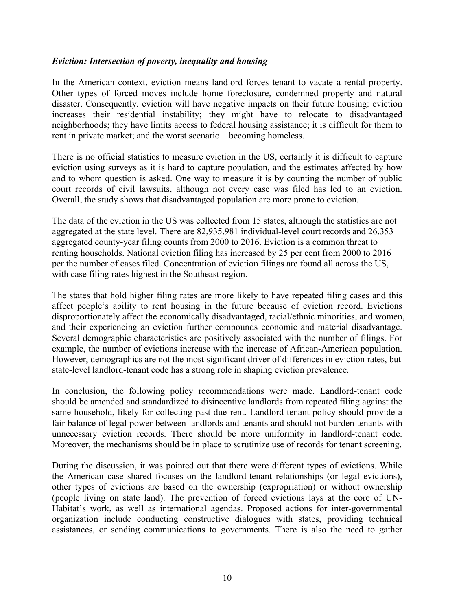### *Eviction: Intersection of poverty, inequality and housing*

In the American context, eviction means landlord forces tenant to vacate a rental property. Other types of forced moves include home foreclosure, condemned property and natural disaster. Consequently, eviction will have negative impacts on their future housing: eviction increases their residential instability; they might have to relocate to disadvantaged neighborhoods; they have limits access to federal housing assistance; it is difficult for them to rent in private market; and the worst scenario – becoming homeless.

There is no official statistics to measure eviction in the US, certainly it is difficult to capture eviction using surveys as it is hard to capture population, and the estimates affected by how and to whom question is asked. One way to measure it is by counting the number of public court records of civil lawsuits, although not every case was filed has led to an eviction. Overall, the study shows that disadvantaged population are more prone to eviction.

The data of the eviction in the US was collected from 15 states, although the statistics are not aggregated at the state level. There are 82,935,981 individual-level court records and 26,353 aggregated county-year filing counts from 2000 to 2016. Eviction is a common threat to renting households. National eviction filing has increased by 25 per cent from 2000 to 2016 per the number of cases filed. Concentration of eviction filings are found all across the US, with case filing rates highest in the Southeast region.

The states that hold higher filing rates are more likely to have repeated filing cases and this affect people's ability to rent housing in the future because of eviction record. Evictions disproportionately affect the economically disadvantaged, racial/ethnic minorities, and women, and their experiencing an eviction further compounds economic and material disadvantage. Several demographic characteristics are positively associated with the number of filings. For example, the number of evictions increase with the increase of African-American population. However, demographics are not the most significant driver of differences in eviction rates, but state-level landlord-tenant code has a strong role in shaping eviction prevalence.

In conclusion, the following policy recommendations were made. Landlord-tenant code should be amended and standardized to disincentive landlords from repeated filing against the same household, likely for collecting past-due rent. Landlord-tenant policy should provide a fair balance of legal power between landlords and tenants and should not burden tenants with unnecessary eviction records. There should be more uniformity in landlord-tenant code. Moreover, the mechanisms should be in place to scrutinize use of records for tenant screening.

During the discussion, it was pointed out that there were different types of evictions. While the American case shared focuses on the landlord-tenant relationships (or legal evictions), other types of evictions are based on the ownership (expropriation) or without ownership (people living on state land). The prevention of forced evictions lays at the core of UN-Habitat's work, as well as international agendas. Proposed actions for inter-governmental organization include conducting constructive dialogues with states, providing technical assistances, or sending communications to governments. There is also the need to gather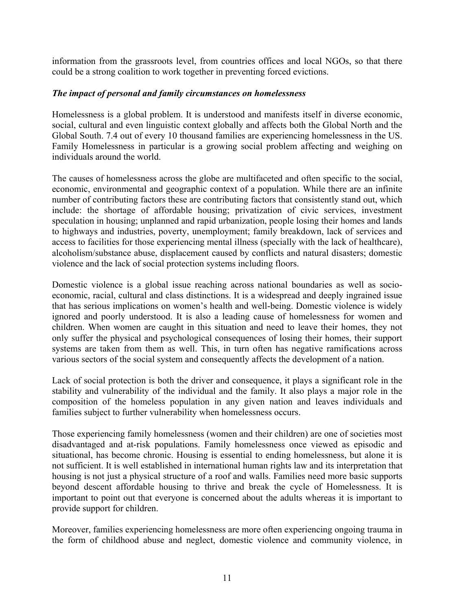information from the grassroots level, from countries offices and local NGOs, so that there could be a strong coalition to work together in preventing forced evictions.

### *The impact of personal and family circumstances on homelessness*

Homelessness is a global problem. It is understood and manifests itself in diverse economic, social, cultural and even linguistic context globally and affects both the Global North and the Global South. 7.4 out of every 10 thousand families are experiencing homelessness in the US. Family Homelessness in particular is a growing social problem affecting and weighing on individuals around the world.

The causes of homelessness across the globe are multifaceted and often specific to the social, economic, environmental and geographic context of a population. While there are an infinite number of contributing factors these are contributing factors that consistently stand out, which include: the shortage of affordable housing; privatization of civic services, investment speculation in housing; unplanned and rapid urbanization, people losing their homes and lands to highways and industries, poverty, unemployment; family breakdown, lack of services and access to facilities for those experiencing mental illness (specially with the lack of healthcare), alcoholism/substance abuse, displacement caused by conflicts and natural disasters; domestic violence and the lack of social protection systems including floors.

Domestic violence is a global issue reaching across national boundaries as well as socioeconomic, racial, cultural and class distinctions. It is a widespread and deeply ingrained issue that has serious implications on women's health and well-being. Domestic violence is widely ignored and poorly understood. It is also a leading cause of homelessness for women and children. When women are caught in this situation and need to leave their homes, they not only suffer the physical and psychological consequences of losing their homes, their support systems are taken from them as well. This, in turn often has negative ramifications across various sectors of the social system and consequently affects the development of a nation.

Lack of social protection is both the driver and consequence, it plays a significant role in the stability and vulnerability of the individual and the family. It also plays a major role in the composition of the homeless population in any given nation and leaves individuals and families subject to further vulnerability when homelessness occurs.

Those experiencing family homelessness (women and their children) are one of societies most disadvantaged and at-risk populations. Family homelessness once viewed as episodic and situational, has become chronic. Housing is essential to ending homelessness, but alone it is not sufficient. It is well established in international human rights law and its interpretation that housing is not just a physical structure of a roof and walls. Families need more basic supports beyond descent affordable housing to thrive and break the cycle of Homelessness. It is important to point out that everyone is concerned about the adults whereas it is important to provide support for children.

Moreover, families experiencing homelessness are more often experiencing ongoing trauma in the form of childhood abuse and neglect, domestic violence and community violence, in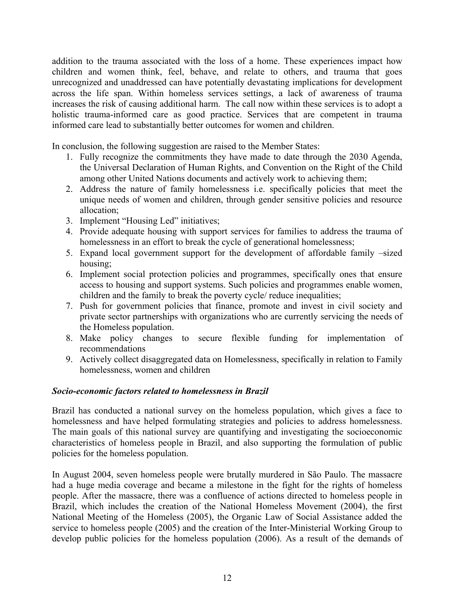addition to the trauma associated with the loss of a home. These experiences impact how children and women think, feel, behave, and relate to others, and trauma that goes unrecognized and unaddressed can have potentially devastating implications for development across the life span. Within homeless services settings, a lack of awareness of trauma increases the risk of causing additional harm. The call now within these services is to adopt a holistic trauma-informed care as good practice. Services that are competent in trauma informed care lead to substantially better outcomes for women and children.

In conclusion, the following suggestion are raised to the Member States:

- 1. Fully recognize the commitments they have made to date through the 2030 Agenda, the Universal Declaration of Human Rights, and Convention on the Right of the Child among other United Nations documents and actively work to achieving them;
- 2. Address the nature of family homelessness i.e. specifically policies that meet the unique needs of women and children, through gender sensitive policies and resource allocation;
- 3. Implement "Housing Led" initiatives;
- 4. Provide adequate housing with support services for families to address the trauma of homelessness in an effort to break the cycle of generational homelessness;
- 5. Expand local government support for the development of affordable family –sized housing;
- 6. Implement social protection policies and programmes, specifically ones that ensure access to housing and support systems. Such policies and programmes enable women, children and the family to break the poverty cycle/ reduce inequalities;
- 7. Push for government policies that finance, promote and invest in civil society and private sector partnerships with organizations who are currently servicing the needs of the Homeless population.
- 8. Make policy changes to secure flexible funding for implementation of recommendations
- 9. Actively collect disaggregated data on Homelessness, specifically in relation to Family homelessness, women and children

# *Socio-economic factors related to homelessness in Brazil*

Brazil has conducted a national survey on the homeless population, which gives a face to homelessness and have helped formulating strategies and policies to address homelessness. The main goals of this national survey are quantifying and investigating the socioeconomic characteristics of homeless people in Brazil, and also supporting the formulation of public policies for the homeless population.

In August 2004, seven homeless people were brutally murdered in São Paulo. The massacre had a huge media coverage and became a milestone in the fight for the rights of homeless people. After the massacre, there was a confluence of actions directed to homeless people in Brazil, which includes the creation of the National Homeless Movement (2004), the first National Meeting of the Homeless (2005), the Organic Law of Social Assistance added the service to homeless people (2005) and the creation of the Inter-Ministerial Working Group to develop public policies for the homeless population (2006). As a result of the demands of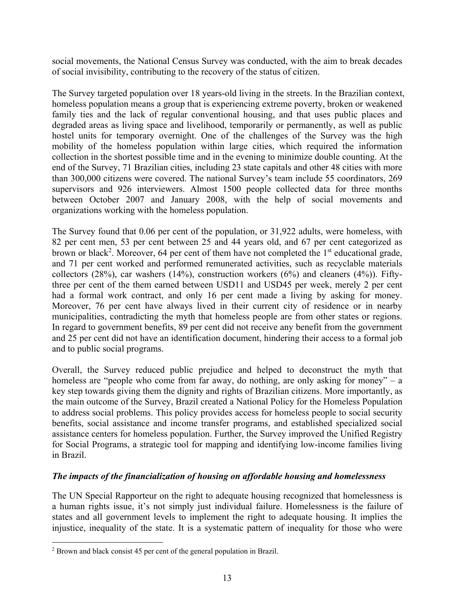social movements, the National Census Survey was conducted, with the aim to break decades of social invisibility, contributing to the recovery of the status of citizen.

The Survey targeted population over 18 years-old living in the streets. In the Brazilian context, homeless population means a group that is experiencing extreme poverty, broken or weakened family ties and the lack of regular conventional housing, and that uses public places and degraded areas as living space and livelihood, temporarily or permanently, as well as public hostel units for temporary overnight. One of the challenges of the Survey was the high mobility of the homeless population within large cities, which required the information collection in the shortest possible time and in the evening to minimize double counting. At the end of the Survey, 71 Brazilian cities, including 23 state capitals and other 48 cities with more than 300,000 citizens were covered. The national Survey's team include 55 coordinators, 269 supervisors and 926 interviewers. Almost 1500 people collected data for three months between October 2007 and January 2008, with the help of social movements and organizations working with the homeless population.

The Survey found that 0.06 per cent of the population, or 31,922 adults, were homeless, with 82 per cent men, 53 per cent between 25 and 44 years old, and 67 per cent categorized as brown or black<sup>2</sup>. Moreover, 64 per cent of them have not completed the  $1<sup>st</sup>$  educational grade, and 71 per cent worked and performed remunerated activities, such as recyclable materials collectors  $(28%)$ , car washers  $(14%)$ , construction workers  $(6%)$  and cleaners  $(4%)$ ). Fiftythree per cent of the them earned between USD11 and USD45 per week, merely 2 per cent had a formal work contract, and only 16 per cent made a living by asking for money. Moreover, 76 per cent have always lived in their current city of residence or in nearby municipalities, contradicting the myth that homeless people are from other states or regions. In regard to government benefits, 89 per cent did not receive any benefit from the government and 25 per cent did not have an identification document, hindering their access to a formal job and to public social programs.

Overall, the Survey reduced public prejudice and helped to deconstruct the myth that homeless are "people who come from far away, do nothing, are only asking for money" – a key step towards giving them the dignity and rights of Brazilian citizens. More importantly, as the main outcome of the Survey, Brazil created a National Policy for the Homeless Population to address social problems. This policy provides access for homeless people to social security benefits, social assistance and income transfer programs, and established specialized social assistance centers for homeless population. Further, the Survey improved the Unified Registry for Social Programs, a strategic tool for mapping and identifying low-income families living in Brazil.

# *The impacts of the financialization of housing on affordable housing and homelessness*

The UN Special Rapporteur on the right to adequate housing recognized that homelessness is a human rights issue, it's not simply just individual failure. Homelessness is the failure of states and all government levels to implement the right to adequate housing. It implies the injustice, inequality of the state. It is a systematic pattern of inequality for those who were

1

<sup>&</sup>lt;sup>2</sup> Brown and black consist 45 per cent of the general population in Brazil.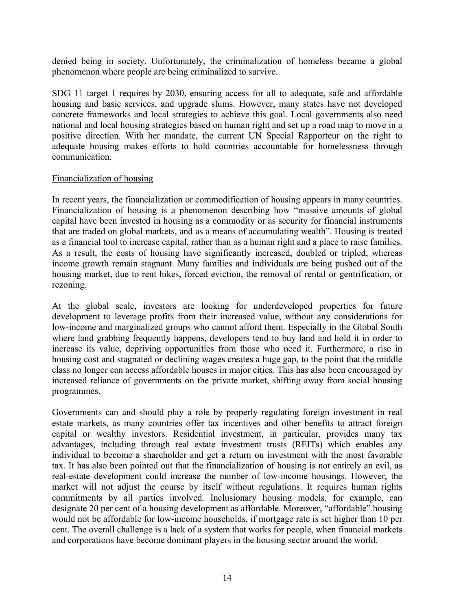denied being in society. Unfortunately, the criminalization of homeless became a global phenomenon where people are being criminalized to survive.

SDG 11 target 1 requires by 2030, ensuring access for all to adequate, safe and affordable housing and basic services, and upgrade slums. However, many states have not developed concrete frameworks and local strategies to achieve this goal. Local governments also need national and local housing strategies based on human right and set up a road map to move in a positive direction. With her mandate, the current UN Special Rapporteur on the right to adequate housing makes efforts to hold countries accountable for homelessness through communication.

### Financialization of housing

In recent years, the financialization or commodification of housing appears in many countries. Financialization of housing is a phenomenon describing how "massive amounts of global capital have been invested in housing as a commodity or as security for financial instruments that are traded on global markets, and as a means of accumulating wealth". Housing is treated as a financial tool to increase capital, rather than as a human right and a place to raise families. As a result, the costs of housing have significantly increased, doubled or tripled, whereas income growth remain stagnant. Many families and individuals are being pushed out of the housing market, due to rent hikes, forced eviction, the removal of rental or gentrification, or rezoning.

At the global scale, investors are looking for underdeveloped properties for future development to leverage profits from their increased value, without any considerations for low-income and marginalized groups who cannot afford them. Especially in the Global South where land grabbing frequently happens, developers tend to buy land and hold it in order to increase its value, depriving opportunities from those who need it. Furthermore, a rise in housing cost and stagnated or declining wages creates a huge gap, to the point that the middle class no longer can access affordable houses in major cities. This has also been encouraged by increased reliance of governments on the private market, shifting away from social housing programmes.

Governments can and should play a role by properly regulating foreign investment in real estate markets, as many countries offer tax incentives and other benefits to attract foreign capital or wealthy investors. Residential investment, in particular, provides many tax advantages, including through real estate investment trusts (REITs) which enables any individual to become a shareholder and get a return on investment with the most favorable tax. It has also been pointed out that the financialization of housing is not entirely an evil, as real-estate development could increase the number of low-income housings. However, the market will not adjust the course by itself without regulations. It requires human rights commitments by all parties involved. Inclusionary housing models, for example, can designate 20 per cent of a housing development as affordable. Moreover, "affordable" housing would not be affordable for low-income households, if mortgage rate is set higher than 10 per cent. The overall challenge is a lack of a system that works for people, when financial markets and corporations have become dominant players in the housing sector around the world.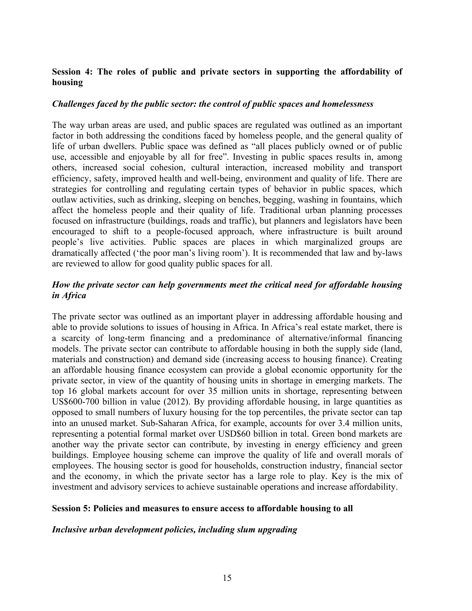# **Session 4: The roles of public and private sectors in supporting the affordability of housing**

### *Challenges faced by the public sector: the control of public spaces and homelessness*

The way urban areas are used, and public spaces are regulated was outlined as an important factor in both addressing the conditions faced by homeless people, and the general quality of life of urban dwellers. Public space was defined as "all places publicly owned or of public use, accessible and enjoyable by all for free". Investing in public spaces results in, among others, increased social cohesion, cultural interaction, increased mobility and transport efficiency, safety, improved health and well-being, environment and quality of life. There are strategies for controlling and regulating certain types of behavior in public spaces, which outlaw activities, such as drinking, sleeping on benches, begging, washing in fountains, which affect the homeless people and their quality of life. Traditional urban planning processes focused on infrastructure (buildings, roads and traffic), but planners and legislators have been encouraged to shift to a people-focused approach, where infrastructure is built around people's live activities. Public spaces are places in which marginalized groups are dramatically affected ('the poor man's living room'). It is recommended that law and by-laws are reviewed to allow for good quality public spaces for all.

# *How the private sector can help governments meet the critical need for affordable housing in Africa*

The private sector was outlined as an important player in addressing affordable housing and able to provide solutions to issues of housing in Africa. In Africa's real estate market, there is a scarcity of long-term financing and a predominance of alternative/informal financing models. The private sector can contribute to affordable housing in both the supply side (land, materials and construction) and demand side (increasing access to housing finance). Creating an affordable housing finance ecosystem can provide a global economic opportunity for the private sector, in view of the quantity of housing units in shortage in emerging markets. The top 16 global markets account for over 35 million units in shortage, representing between US\$600-700 billion in value (2012). By providing affordable housing, in large quantities as opposed to small numbers of luxury housing for the top percentiles, the private sector can tap into an unused market. Sub-Saharan Africa, for example, accounts for over 3.4 million units, representing a potential formal market over USD\$60 billion in total. Green bond markets are another way the private sector can contribute, by investing in energy efficiency and green buildings. Employee housing scheme can improve the quality of life and overall morals of employees. The housing sector is good for households, construction industry, financial sector and the economy, in which the private sector has a large role to play. Key is the mix of investment and advisory services to achieve sustainable operations and increase affordability.

#### **Session 5: Policies and measures to ensure access to affordable housing to all**

#### *Inclusive urban development policies, including slum upgrading*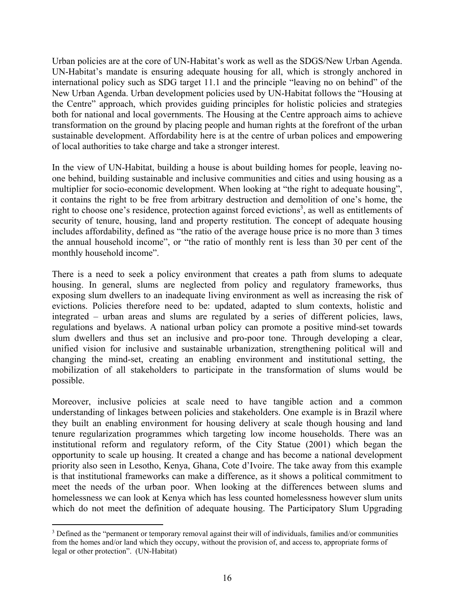Urban policies are at the core of UN-Habitat's work as well as the SDGS/New Urban Agenda. UN-Habitat's mandate is ensuring adequate housing for all, which is strongly anchored in international policy such as SDG target 11.1 and the principle "leaving no on behind" of the New Urban Agenda. Urban development policies used by UN-Habitat follows the "Housing at the Centre" approach, which provides guiding principles for holistic policies and strategies both for national and local governments. The Housing at the Centre approach aims to achieve transformation on the ground by placing people and human rights at the forefront of the urban sustainable development. Affordability here is at the centre of urban polices and empowering of local authorities to take charge and take a stronger interest.

In the view of UN-Habitat, building a house is about building homes for people, leaving noone behind, building sustainable and inclusive communities and cities and using housing as a multiplier for socio-economic development. When looking at "the right to adequate housing", it contains the right to be free from arbitrary destruction and demolition of one's home, the right to choose one's residence, protection against forced evictions<sup>3</sup>, as well as entitlements of security of tenure, housing, land and property restitution. The concept of adequate housing includes affordability, defined as "the ratio of the average house price is no more than 3 times the annual household income", or "the ratio of monthly rent is less than 30 per cent of the monthly household income".

There is a need to seek a policy environment that creates a path from slums to adequate housing. In general, slums are neglected from policy and regulatory frameworks, thus exposing slum dwellers to an inadequate living environment as well as increasing the risk of evictions. Policies therefore need to be: updated, adapted to slum contexts, holistic and integrated – urban areas and slums are regulated by a series of different policies, laws, regulations and byelaws. A national urban policy can promote a positive mind-set towards slum dwellers and thus set an inclusive and pro-poor tone. Through developing a clear, unified vision for inclusive and sustainable urbanization, strengthening political will and changing the mind-set, creating an enabling environment and institutional setting, the mobilization of all stakeholders to participate in the transformation of slums would be possible.

Moreover, inclusive policies at scale need to have tangible action and a common understanding of linkages between policies and stakeholders. One example is in Brazil where they built an enabling environment for housing delivery at scale though housing and land tenure regularization programmes which targeting low income households. There was an institutional reform and regulatory reform, of the City Statue (2001) which began the opportunity to scale up housing. It created a change and has become a national development priority also seen in Lesotho, Kenya, Ghana, Cote d'Ivoire. The take away from this example is that institutional frameworks can make a difference, as it shows a political commitment to meet the needs of the urban poor. When looking at the differences between slums and homelessness we can look at Kenya which has less counted homelessness however slum units which do not meet the definition of adequate housing. The Participatory Slum Upgrading

 $\overline{a}$ <sup>3</sup> Defined as the "permanent or temporary removal against their will of individuals, families and/or communities from the homes and/or land which they occupy, without the provision of, and access to, appropriate forms of legal or other protection". (UN-Habitat)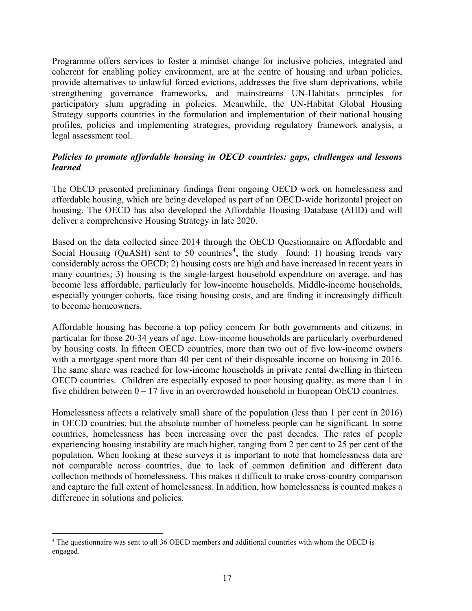Programme offers services to foster a mindset change for inclusive policies, integrated and coherent for enabling policy environment, are at the centre of housing and urban policies, provide alternatives to unlawful forced evictions, addresses the five slum deprivations, while strengthening governance frameworks, and mainstreams UN-Habitats principles for participatory slum upgrading in policies. Meanwhile, the UN-Habitat Global Housing Strategy supports countries in the formulation and implementation of their national housing profiles, policies and implementing strategies, providing regulatory framework analysis, a legal assessment tool.

### *Policies to promote affordable housing in OECD countries: gaps, challenges and lessons learned*

The OECD presented preliminary findings from ongoing OECD work on homelessness and affordable housing, which are being developed as part of an OECD-wide horizontal project on housing. The OECD has also developed the Affordable Housing Database (AHD) and will deliver a comprehensive Housing Strategy in late 2020.

Based on the data collected since 2014 through the OECD Questionnaire on Affordable and Social Housing (QuASH) sent to 50 countries<sup>4</sup>, the study found: 1) housing trends vary considerably across the OECD; 2) housing costs are high and have increased in recent years in many countries; 3) housing is the single-largest household expenditure on average, and has become less affordable, particularly for low-income households. Middle-income households, especially younger cohorts, face rising housing costs, and are finding it increasingly difficult to become homeowners.

Affordable housing has become a top policy concern for both governments and citizens, in particular for those 20-34 years of age. Low-income households are particularly overburdened by housing costs. In fifteen OECD countries, more than two out of five low-income owners with a mortgage spent more than 40 per cent of their disposable income on housing in 2016. The same share was reached for low-income households in private rental dwelling in thirteen OECD countries. Children are especially exposed to poor housing quality, as more than 1 in five children between  $0 - 17$  live in an overcrowded household in European OECD countries.

Homelessness affects a relatively small share of the population (less than 1 per cent in 2016) in OECD countries, but the absolute number of homeless people can be significant. In some countries, homelessness has been increasing over the past decades. The rates of people experiencing housing instability are much higher, ranging from 2 per cent to 25 per cent of the population. When looking at these surveys it is important to note that homelessness data are not comparable across countries, due to lack of common definition and different data collection methods of homelessness. This makes it difficult to make cross-country comparison and capture the full extent of homelessness. In addition, how homelessness is counted makes a difference in solutions and policies.

 $\overline{a}$ 

<sup>&</sup>lt;sup>4</sup> The questionnaire was sent to all 36 OECD members and additional countries with whom the OECD is engaged.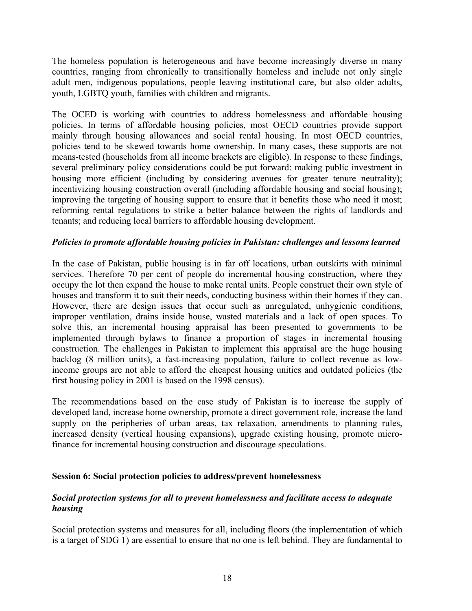The homeless population is heterogeneous and have become increasingly diverse in many countries, ranging from chronically to transitionally homeless and include not only single adult men, indigenous populations, people leaving institutional care, but also older adults, youth, LGBTQ youth, families with children and migrants.

The OCED is working with countries to address homelessness and affordable housing policies. In terms of affordable housing policies, most OECD countries provide support mainly through housing allowances and social rental housing. In most OECD countries, policies tend to be skewed towards home ownership. In many cases, these supports are not means-tested (households from all income brackets are eligible). In response to these findings, several preliminary policy considerations could be put forward: making public investment in housing more efficient (including by considering avenues for greater tenure neutrality); incentivizing housing construction overall (including affordable housing and social housing); improving the targeting of housing support to ensure that it benefits those who need it most; reforming rental regulations to strike a better balance between the rights of landlords and tenants; and reducing local barriers to affordable housing development.

# *Policies to promote affordable housing policies in Pakistan: challenges and lessons learned*

In the case of Pakistan, public housing is in far off locations, urban outskirts with minimal services. Therefore 70 per cent of people do incremental housing construction, where they occupy the lot then expand the house to make rental units. People construct their own style of houses and transform it to suit their needs, conducting business within their homes if they can. However, there are design issues that occur such as unregulated, unhygienic conditions, improper ventilation, drains inside house, wasted materials and a lack of open spaces. To solve this, an incremental housing appraisal has been presented to governments to be implemented through bylaws to finance a proportion of stages in incremental housing construction. The challenges in Pakistan to implement this appraisal are the huge housing backlog (8 million units), a fast-increasing population, failure to collect revenue as lowincome groups are not able to afford the cheapest housing unities and outdated policies (the first housing policy in 2001 is based on the 1998 census).

The recommendations based on the case study of Pakistan is to increase the supply of developed land, increase home ownership, promote a direct government role, increase the land supply on the peripheries of urban areas, tax relaxation, amendments to planning rules, increased density (vertical housing expansions), upgrade existing housing, promote microfinance for incremental housing construction and discourage speculations.

#### **Session 6: Social protection policies to address/prevent homelessness**

# *Social protection systems for all to prevent homelessness and facilitate access to adequate housing*

Social protection systems and measures for all, including floors (the implementation of which is a target of SDG 1) are essential to ensure that no one is left behind. They are fundamental to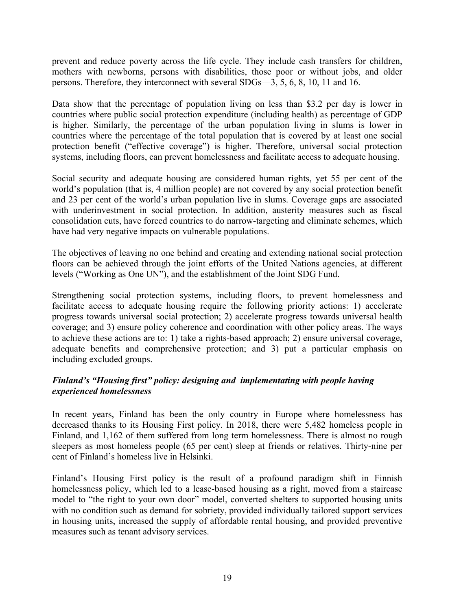prevent and reduce poverty across the life cycle. They include cash transfers for children, mothers with newborns, persons with disabilities, those poor or without jobs, and older persons. Therefore, they interconnect with several SDGs—3, 5, 6, 8, 10, 11 and 16.

Data show that the percentage of population living on less than \$3.2 per day is lower in countries where public social protection expenditure (including health) as percentage of GDP is higher. Similarly, the percentage of the urban population living in slums is lower in countries where the percentage of the total population that is covered by at least one social protection benefit ("effective coverage") is higher. Therefore, universal social protection systems, including floors, can prevent homelessness and facilitate access to adequate housing.

Social security and adequate housing are considered human rights, yet 55 per cent of the world's population (that is, 4 million people) are not covered by any social protection benefit and 23 per cent of the world's urban population live in slums. Coverage gaps are associated with underinvestment in social protection. In addition, austerity measures such as fiscal consolidation cuts, have forced countries to do narrow-targeting and eliminate schemes, which have had very negative impacts on vulnerable populations.

The objectives of leaving no one behind and creating and extending national social protection floors can be achieved through the joint efforts of the United Nations agencies, at different levels ("Working as One UN"), and the establishment of the Joint SDG Fund.

Strengthening social protection systems, including floors, to prevent homelessness and facilitate access to adequate housing require the following priority actions: 1) accelerate progress towards universal social protection; 2) accelerate progress towards universal health coverage; and 3) ensure policy coherence and coordination with other policy areas. The ways to achieve these actions are to: 1) take a rights-based approach; 2) ensure universal coverage, adequate benefits and comprehensive protection; and 3) put a particular emphasis on including excluded groups.

# *Finland's "Housing first" policy: designing and implementating with people having experienced homelessness*

In recent years, Finland has been the only country in Europe where homelessness has decreased thanks to its Housing First policy. In 2018, there were 5,482 homeless people in Finland, and 1,162 of them suffered from long term homelessness. There is almost no rough sleepers as most homeless people (65 per cent) sleep at friends or relatives. Thirty-nine per cent of Finland's homeless live in Helsinki.

Finland's Housing First policy is the result of a profound paradigm shift in Finnish homelessness policy, which led to a lease-based housing as a right, moved from a staircase model to "the right to your own door" model, converted shelters to supported housing units with no condition such as demand for sobriety, provided individually tailored support services in housing units, increased the supply of affordable rental housing, and provided preventive measures such as tenant advisory services.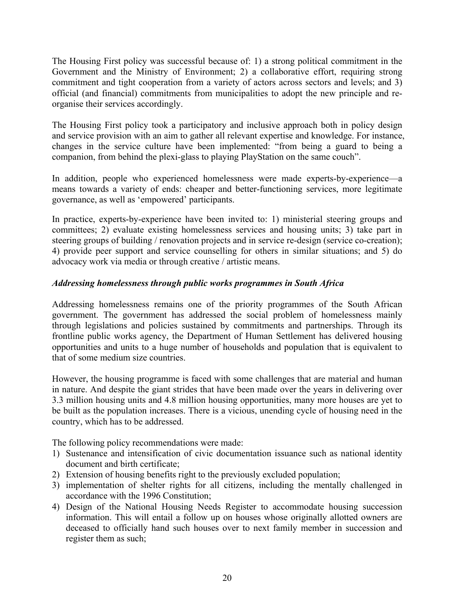The Housing First policy was successful because of: 1) a strong political commitment in the Government and the Ministry of Environment; 2) a collaborative effort, requiring strong commitment and tight cooperation from a variety of actors across sectors and levels; and 3) official (and financial) commitments from municipalities to adopt the new principle and reorganise their services accordingly.

The Housing First policy took a participatory and inclusive approach both in policy design and service provision with an aim to gather all relevant expertise and knowledge. For instance, changes in the service culture have been implemented: "from being a guard to being a companion, from behind the plexi-glass to playing PlayStation on the same couch".

In addition, people who experienced homelessness were made experts-by-experience—a means towards a variety of ends: cheaper and better-functioning services, more legitimate governance, as well as 'empowered' participants.

In practice, experts-by-experience have been invited to: 1) ministerial steering groups and committees; 2) evaluate existing homelessness services and housing units; 3) take part in steering groups of building / renovation projects and in service re-design (service co-creation); 4) provide peer support and service counselling for others in similar situations; and 5) do advocacy work via media or through creative / artistic means.

### *Addressing homelessness through public works programmes in South Africa*

Addressing homelessness remains one of the priority programmes of the South African government. The government has addressed the social problem of homelessness mainly through legislations and policies sustained by commitments and partnerships. Through its frontline public works agency, the Department of Human Settlement has delivered housing opportunities and units to a huge number of households and population that is equivalent to that of some medium size countries.

However, the housing programme is faced with some challenges that are material and human in nature. And despite the giant strides that have been made over the years in delivering over 3.3 million housing units and 4.8 million housing opportunities, many more houses are yet to be built as the population increases. There is a vicious, unending cycle of housing need in the country, which has to be addressed.

The following policy recommendations were made:

- 1) Sustenance and intensification of civic documentation issuance such as national identity document and birth certificate;
- 2) Extension of housing benefits right to the previously excluded population;
- 3) implementation of shelter rights for all citizens, including the mentally challenged in accordance with the 1996 Constitution;
- 4) Design of the National Housing Needs Register to accommodate housing succession information. This will entail a follow up on houses whose originally allotted owners are deceased to officially hand such houses over to next family member in succession and register them as such;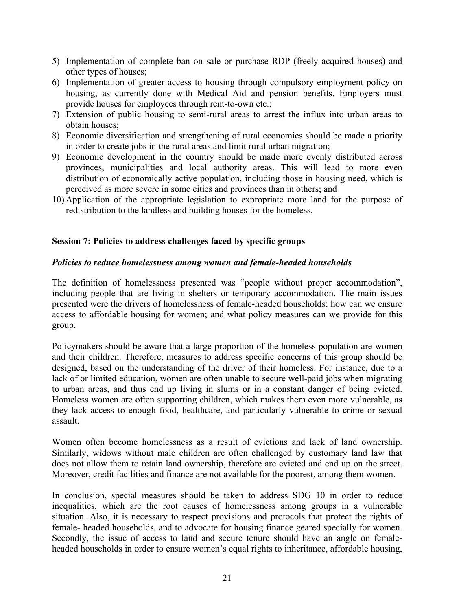- 5) Implementation of complete ban on sale or purchase RDP (freely acquired houses) and other types of houses;
- 6) Implementation of greater access to housing through compulsory employment policy on housing, as currently done with Medical Aid and pension benefits. Employers must provide houses for employees through rent-to-own etc.;
- 7) Extension of public housing to semi-rural areas to arrest the influx into urban areas to obtain houses;
- 8) Economic diversification and strengthening of rural economies should be made a priority in order to create jobs in the rural areas and limit rural urban migration;
- 9) Economic development in the country should be made more evenly distributed across provinces, municipalities and local authority areas. This will lead to more even distribution of economically active population, including those in housing need, which is perceived as more severe in some cities and provinces than in others; and
- 10) Application of the appropriate legislation to expropriate more land for the purpose of redistribution to the landless and building houses for the homeless.

### **Session 7: Policies to address challenges faced by specific groups**

#### *Policies to reduce homelessness among women and female-headed households*

The definition of homelessness presented was "people without proper accommodation", including people that are living in shelters or temporary accommodation. The main issues presented were the drivers of homelessness of female-headed households; how can we ensure access to affordable housing for women; and what policy measures can we provide for this group.

Policymakers should be aware that a large proportion of the homeless population are women and their children. Therefore, measures to address specific concerns of this group should be designed, based on the understanding of the driver of their homeless. For instance, due to a lack of or limited education, women are often unable to secure well-paid jobs when migrating to urban areas, and thus end up living in slums or in a constant danger of being evicted. Homeless women are often supporting children, which makes them even more vulnerable, as they lack access to enough food, healthcare, and particularly vulnerable to crime or sexual assault.

Women often become homelessness as a result of evictions and lack of land ownership. Similarly, widows without male children are often challenged by customary land law that does not allow them to retain land ownership, therefore are evicted and end up on the street. Moreover, credit facilities and finance are not available for the poorest, among them women.

In conclusion, special measures should be taken to address SDG 10 in order to reduce inequalities, which are the root causes of homelessness among groups in a vulnerable situation. Also, it is necessary to respect provisions and protocols that protect the rights of female- headed households, and to advocate for housing finance geared specially for women. Secondly, the issue of access to land and secure tenure should have an angle on femaleheaded households in order to ensure women's equal rights to inheritance, affordable housing,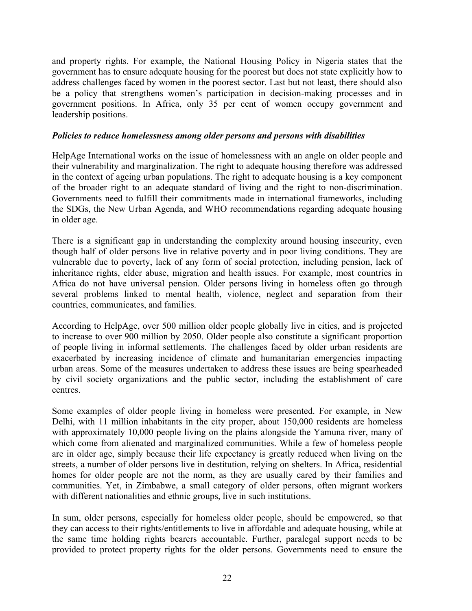and property rights. For example, the National Housing Policy in Nigeria states that the government has to ensure adequate housing for the poorest but does not state explicitly how to address challenges faced by women in the poorest sector. Last but not least, there should also be a policy that strengthens women's participation in decision-making processes and in government positions. In Africa, only 35 per cent of women occupy government and leadership positions.

#### *Policies to reduce homelessness among older persons and persons with disabilities*

HelpAge International works on the issue of homelessness with an angle on older people and their vulnerability and marginalization. The right to adequate housing therefore was addressed in the context of ageing urban populations. The right to adequate housing is a key component of the broader right to an adequate standard of living and the right to non-discrimination. Governments need to fulfill their commitments made in international frameworks, including the SDGs, the New Urban Agenda, and WHO recommendations regarding adequate housing in older age.

There is a significant gap in understanding the complexity around housing insecurity, even though half of older persons live in relative poverty and in poor living conditions. They are vulnerable due to poverty, lack of any form of social protection, including pension, lack of inheritance rights, elder abuse, migration and health issues. For example, most countries in Africa do not have universal pension. Older persons living in homeless often go through several problems linked to mental health, violence, neglect and separation from their countries, communicates, and families.

According to HelpAge, over 500 million older people globally live in cities, and is projected to increase to over 900 million by 2050. Older people also constitute a significant proportion of people living in informal settlements. The challenges faced by older urban residents are exacerbated by increasing incidence of climate and humanitarian emergencies impacting urban areas. Some of the measures undertaken to address these issues are being spearheaded by civil society organizations and the public sector, including the establishment of care centres.

Some examples of older people living in homeless were presented. For example, in New Delhi, with 11 million inhabitants in the city proper, about 150,000 residents are homeless with approximately 10,000 people living on the plains alongside the Yamuna river, many of which come from alienated and marginalized communities. While a few of homeless people are in older age, simply because their life expectancy is greatly reduced when living on the streets, a number of older persons live in destitution, relying on shelters. In Africa, residential homes for older people are not the norm, as they are usually cared by their families and communities. Yet, in Zimbabwe, a small category of older persons, often migrant workers with different nationalities and ethnic groups, live in such institutions.

In sum, older persons, especially for homeless older people, should be empowered, so that they can access to their rights/entitlements to live in affordable and adequate housing, while at the same time holding rights bearers accountable. Further, paralegal support needs to be provided to protect property rights for the older persons. Governments need to ensure the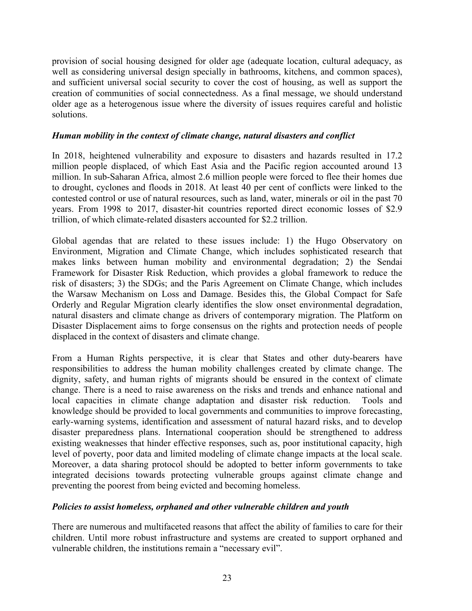provision of social housing designed for older age (adequate location, cultural adequacy, as well as considering universal design specially in bathrooms, kitchens, and common spaces), and sufficient universal social security to cover the cost of housing, as well as support the creation of communities of social connectedness. As a final message, we should understand older age as a heterogenous issue where the diversity of issues requires careful and holistic solutions.

#### *Human mobility in the context of climate change, natural disasters and conflict*

In 2018, heightened vulnerability and exposure to disasters and hazards resulted in 17.2 million people displaced, of which East Asia and the Pacific region accounted around 13 million. In sub-Saharan Africa, almost 2.6 million people were forced to flee their homes due to drought, cyclones and floods in 2018. At least 40 per cent of conflicts were linked to the contested control or use of natural resources, such as land, water, minerals or oil in the past 70 years. From 1998 to 2017, disaster-hit countries reported direct economic losses of \$2.9 trillion, of which climate-related disasters accounted for \$2.2 trillion.

Global agendas that are related to these issues include: 1) the Hugo Observatory on Environment, Migration and Climate Change, which includes sophisticated research that makes links between human mobility and environmental degradation; 2) the Sendai Framework for Disaster Risk Reduction, which provides a global framework to reduce the risk of disasters; 3) the SDGs; and the Paris Agreement on Climate Change, which includes the Warsaw Mechanism on Loss and Damage. Besides this, the Global Compact for Safe Orderly and Regular Migration clearly identifies the slow onset environmental degradation, natural disasters and climate change as drivers of contemporary migration. The Platform on Disaster Displacement aims to forge consensus on the rights and protection needs of people displaced in the context of disasters and climate change.

From a Human Rights perspective, it is clear that States and other duty-bearers have responsibilities to address the human mobility challenges created by climate change. The dignity, safety, and human rights of migrants should be ensured in the context of climate change. There is a need to raise awareness on the risks and trends and enhance national and local capacities in climate change adaptation and disaster risk reduction. Tools and knowledge should be provided to local governments and communities to improve forecasting, early-warning systems, identification and assessment of natural hazard risks, and to develop disaster preparedness plans. International cooperation should be strengthened to address existing weaknesses that hinder effective responses, such as, poor institutional capacity, high level of poverty, poor data and limited modeling of climate change impacts at the local scale. Moreover, a data sharing protocol should be adopted to better inform governments to take integrated decisions towards protecting vulnerable groups against climate change and preventing the poorest from being evicted and becoming homeless.

# *Policies to assist homeless, orphaned and other vulnerable children and youth*

There are numerous and multifaceted reasons that affect the ability of families to care for their children. Until more robust infrastructure and systems are created to support orphaned and vulnerable children, the institutions remain a "necessary evil".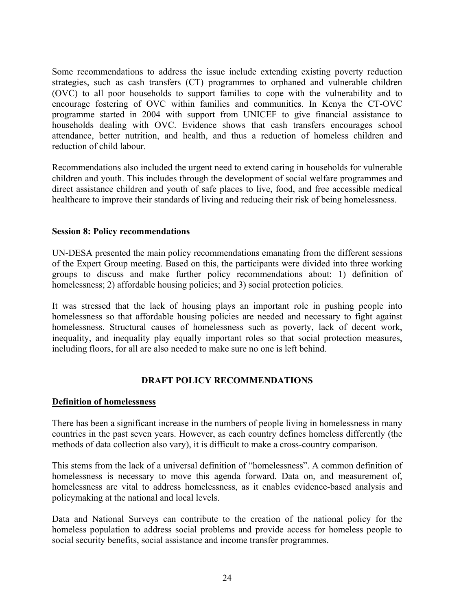Some recommendations to address the issue include extending existing poverty reduction strategies, such as cash transfers (CT) programmes to orphaned and vulnerable children (OVC) to all poor households to support families to cope with the vulnerability and to encourage fostering of OVC within families and communities. In Kenya the CT-OVC programme started in 2004 with support from UNICEF to give financial assistance to households dealing with OVC. Evidence shows that cash transfers encourages school attendance, better nutrition, and health, and thus a reduction of homeless children and reduction of child labour.

Recommendations also included the urgent need to extend caring in households for vulnerable children and youth. This includes through the development of social welfare programmes and direct assistance children and youth of safe places to live, food, and free accessible medical healthcare to improve their standards of living and reducing their risk of being homelessness.

#### **Session 8: Policy recommendations**

UN-DESA presented the main policy recommendations emanating from the different sessions of the Expert Group meeting. Based on this, the participants were divided into three working groups to discuss and make further policy recommendations about: 1) definition of homelessness; 2) affordable housing policies; and 3) social protection policies.

It was stressed that the lack of housing plays an important role in pushing people into homelessness so that affordable housing policies are needed and necessary to fight against homelessness. Structural causes of homelessness such as poverty, lack of decent work, inequality, and inequality play equally important roles so that social protection measures, including floors, for all are also needed to make sure no one is left behind.

#### **DRAFT POLICY RECOMMENDATIONS**

#### **Definition of homelessness**

There has been a significant increase in the numbers of people living in homelessness in many countries in the past seven years. However, as each country defines homeless differently (the methods of data collection also vary), it is difficult to make a cross-country comparison.

This stems from the lack of a universal definition of "homelessness". A common definition of homelessness is necessary to move this agenda forward. Data on, and measurement of, homelessness are vital to address homelessness, as it enables evidence-based analysis and policymaking at the national and local levels.

Data and National Surveys can contribute to the creation of the national policy for the homeless population to address social problems and provide access for homeless people to social security benefits, social assistance and income transfer programmes.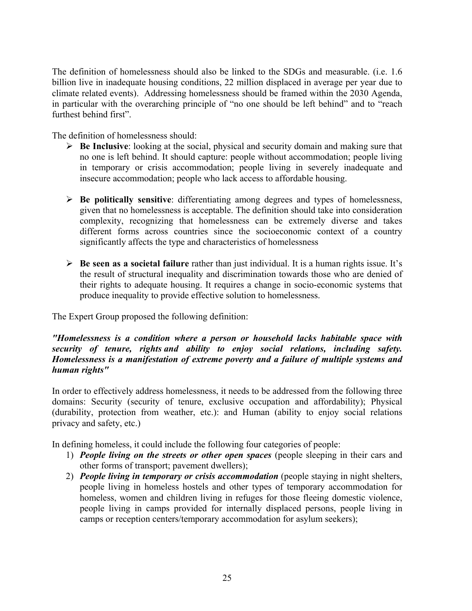The definition of homelessness should also be linked to the SDGs and measurable. (i.e. 1.6 billion live in inadequate housing conditions, 22 million displaced in average per year due to climate related events). Addressing homelessness should be framed within the 2030 Agenda, in particular with the overarching principle of "no one should be left behind" and to "reach furthest behind first".

The definition of homelessness should:

- **Be Inclusive**: looking at the social, physical and security domain and making sure that no one is left behind. It should capture: people without accommodation; people living in temporary or crisis accommodation; people living in severely inadequate and insecure accommodation; people who lack access to affordable housing.
- **Be politically sensitive**: differentiating among degrees and types of homelessness, given that no homelessness is acceptable. The definition should take into consideration complexity, recognizing that homelessness can be extremely diverse and takes different forms across countries since the socioeconomic context of a country significantly affects the type and characteristics of homelessness
- **Be seen as a societal failure** rather than just individual. It is a human rights issue. It's the result of structural inequality and discrimination towards those who are denied of their rights to adequate housing. It requires a change in socio-economic systems that produce inequality to provide effective solution to homelessness.

The Expert Group proposed the following definition:

### *"Homelessness is a condition where a person or household lacks habitable space with security of tenure, rights and ability to enjoy social relations, including safety. Homelessness is a manifestation of extreme poverty and a failure of multiple systems and human rights"*

In order to effectively address homelessness, it needs to be addressed from the following three domains: Security (security of tenure, exclusive occupation and affordability); Physical (durability, protection from weather, etc.): and Human (ability to enjoy social relations privacy and safety, etc.)

In defining homeless, it could include the following four categories of people:

- 1) *People living on the streets or other open spaces* (people sleeping in their cars and other forms of transport; pavement dwellers);
- 2) *People living in temporary or crisis accommodation* (people staying in night shelters, people living in homeless hostels and other types of temporary accommodation for homeless, women and children living in refuges for those fleeing domestic violence, people living in camps provided for internally displaced persons, people living in camps or reception centers/temporary accommodation for asylum seekers);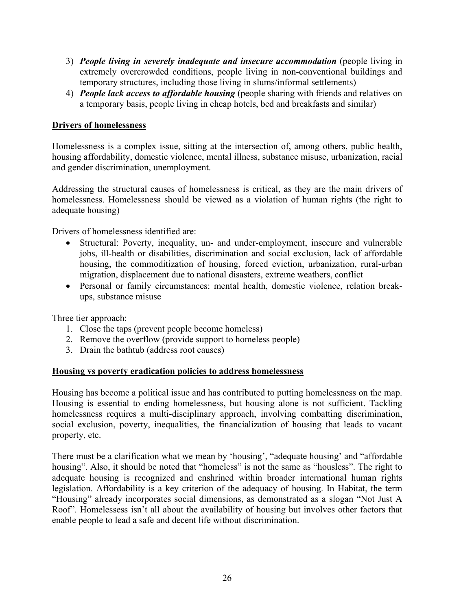- 3) *People living in severely inadequate and insecure accommodation* (people living in extremely overcrowded conditions, people living in non-conventional buildings and temporary structures, including those living in slums/informal settlements)
- 4) *People lack access to affordable housing* (people sharing with friends and relatives on a temporary basis, people living in cheap hotels, bed and breakfasts and similar)

# **Drivers of homelessness**

Homelessness is a complex issue, sitting at the intersection of, among others, public health, housing affordability, domestic violence, mental illness, substance misuse, urbanization, racial and gender discrimination, unemployment.

Addressing the structural causes of homelessness is critical, as they are the main drivers of homelessness. Homelessness should be viewed as a violation of human rights (the right to adequate housing)

Drivers of homelessness identified are:

- Structural: Poverty, inequality, un- and under-employment, insecure and vulnerable jobs, ill-health or disabilities, discrimination and social exclusion, lack of affordable housing, the commoditization of housing, forced eviction, urbanization, rural-urban migration, displacement due to national disasters, extreme weathers, conflict
- Personal or family circumstances: mental health, domestic violence, relation breakups, substance misuse

Three tier approach:

- 1. Close the taps (prevent people become homeless)
- 2. Remove the overflow (provide support to homeless people)
- 3. Drain the bathtub (address root causes)

# **Housing vs poverty eradication policies to address homelessness**

Housing has become a political issue and has contributed to putting homelessness on the map. Housing is essential to ending homelessness, but housing alone is not sufficient. Tackling homelessness requires a multi-disciplinary approach, involving combatting discrimination, social exclusion, poverty, inequalities, the financialization of housing that leads to vacant property, etc.

There must be a clarification what we mean by 'housing', "adequate housing' and "affordable housing". Also, it should be noted that "homeless" is not the same as "housless". The right to adequate housing is recognized and enshrined within broader international human rights legislation. Affordability is a key criterion of the adequacy of housing. In Habitat, the term "Housing" already incorporates social dimensions, as demonstrated as a slogan "Not Just A Roof". Homelessess isn't all about the availability of housing but involves other factors that enable people to lead a safe and decent life without discrimination.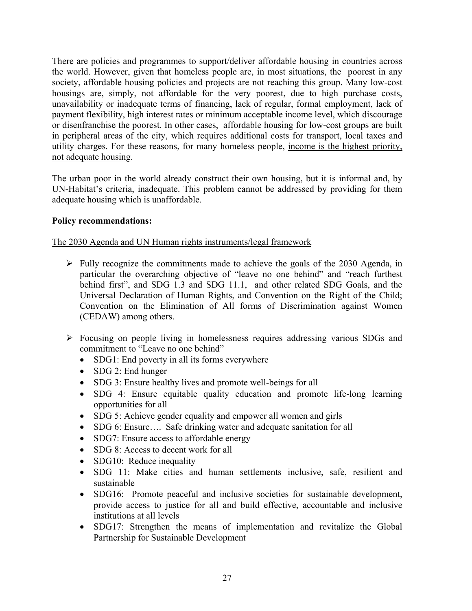There are policies and programmes to support/deliver affordable housing in countries across the world. However, given that homeless people are, in most situations, the poorest in any society, affordable housing policies and projects are not reaching this group. Many low-cost housings are, simply, not affordable for the very poorest, due to high purchase costs, unavailability or inadequate terms of financing, lack of regular, formal employment, lack of payment flexibility, high interest rates or minimum acceptable income level, which discourage or disenfranchise the poorest. In other cases, affordable housing for low-cost groups are built in peripheral areas of the city, which requires additional costs for transport, local taxes and utility charges. For these reasons, for many homeless people, income is the highest priority, not adequate housing.

The urban poor in the world already construct their own housing, but it is informal and, by UN-Habitat's criteria, inadequate. This problem cannot be addressed by providing for them adequate housing which is unaffordable.

### **Policy recommendations:**

#### The 2030 Agenda and UN Human rights instruments/legal framework

- $\triangleright$  Fully recognize the commitments made to achieve the goals of the 2030 Agenda, in particular the overarching objective of "leave no one behind" and "reach furthest behind first", and SDG 1.3 and SDG 11.1, and other related SDG Goals, and the Universal Declaration of Human Rights, and Convention on the Right of the Child; Convention on the Elimination of All forms of Discrimination against Women (CEDAW) among others.
- Focusing on people living in homelessness requires addressing various SDGs and commitment to "Leave no one behind"
	- SDG1: End poverty in all its forms everywhere
	- $\bullet$  SDG 2: End hunger
	- SDG 3: Ensure healthy lives and promote well-beings for all
	- SDG 4: Ensure equitable quality education and promote life-long learning opportunities for all
	- SDG 5: Achieve gender equality and empower all women and girls
	- SDG 6: Ensure.... Safe drinking water and adequate sanitation for all
	- SDG7: Ensure access to affordable energy
	- SDG 8: Access to decent work for all
	- SDG10: Reduce inequality
	- SDG 11: Make cities and human settlements inclusive, safe, resilient and sustainable
	- SDG16: Promote peaceful and inclusive societies for sustainable development, provide access to justice for all and build effective, accountable and inclusive institutions at all levels
	- SDG17: Strengthen the means of implementation and revitalize the Global Partnership for Sustainable Development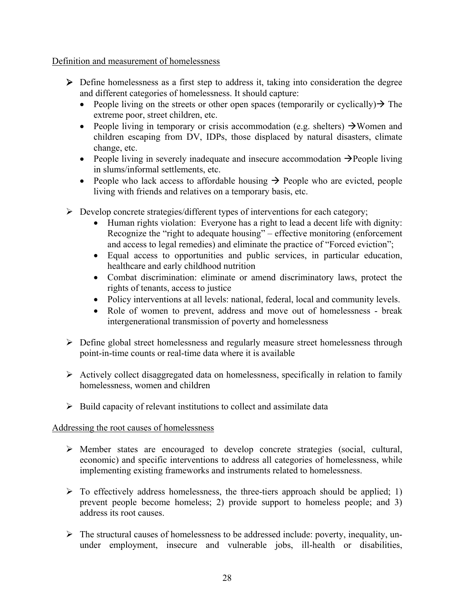Definition and measurement of homelessness

- Define homelessness as a first step to address it, taking into consideration the degree and different categories of homelessness. It should capture:
	- People living on the streets or other open spaces (temporarily or cyclically)  $\rightarrow$  The extreme poor, street children, etc.
	- People living in temporary or crisis accommodation (e.g. shelters)  $\rightarrow$  Women and children escaping from DV, IDPs, those displaced by natural disasters, climate change, etc.
	- People living in severely inadequate and insecure accommodation  $\rightarrow$  People living in slums/informal settlements, etc.
	- People who lack access to affordable housing  $\rightarrow$  People who are evicted, people living with friends and relatives on a temporary basis, etc.
- $\triangleright$  Develop concrete strategies/different types of interventions for each category;
	- Human rights violation: Everyone has a right to lead a decent life with dignity: Recognize the "right to adequate housing" – effective monitoring (enforcement and access to legal remedies) and eliminate the practice of "Forced eviction";
	- Equal access to opportunities and public services, in particular education, healthcare and early childhood nutrition
	- Combat discrimination: eliminate or amend discriminatory laws, protect the rights of tenants, access to justice
	- Policy interventions at all levels: national, federal, local and community levels.
	- Role of women to prevent, address and move out of homelessness break intergenerational transmission of poverty and homelessness
- Define global street homelessness and regularly measure street homelessness through point-in-time counts or real-time data where it is available
- $\triangleright$  Actively collect disaggregated data on homelessness, specifically in relation to family homelessness, women and children
- $\triangleright$  Build capacity of relevant institutions to collect and assimilate data

# Addressing the root causes of homelessness

- Member states are encouraged to develop concrete strategies (social, cultural, economic) and specific interventions to address all categories of homelessness, while implementing existing frameworks and instruments related to homelessness.
- $\triangleright$  To effectively address homelessness, the three-tiers approach should be applied; 1) prevent people become homeless; 2) provide support to homeless people; and 3) address its root causes.
- $\triangleright$  The structural causes of homelessness to be addressed include: poverty, inequality, ununder employment, insecure and vulnerable jobs, ill-health or disabilities,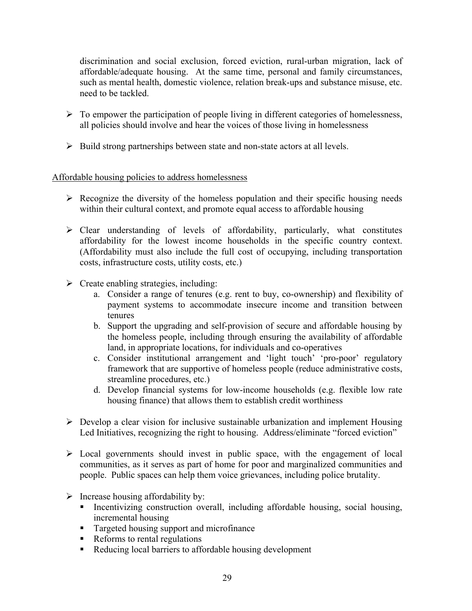discrimination and social exclusion, forced eviction, rural-urban migration, lack of affordable/adequate housing. At the same time, personal and family circumstances, such as mental health, domestic violence, relation break-ups and substance misuse, etc. need to be tackled.

- $\triangleright$  To empower the participation of people living in different categories of homelessness, all policies should involve and hear the voices of those living in homelessness
- $\triangleright$  Build strong partnerships between state and non-state actors at all levels.

# Affordable housing policies to address homelessness

- $\triangleright$  Recognize the diversity of the homeless population and their specific housing needs within their cultural context, and promote equal access to affordable housing
- $\triangleright$  Clear understanding of levels of affordability, particularly, what constitutes affordability for the lowest income households in the specific country context. (Affordability must also include the full cost of occupying, including transportation costs, infrastructure costs, utility costs, etc.)
- $\triangleright$  Create enabling strategies, including:
	- a. Consider a range of tenures (e.g. rent to buy, co-ownership) and flexibility of payment systems to accommodate insecure income and transition between tenures
	- b. Support the upgrading and self-provision of secure and affordable housing by the homeless people, including through ensuring the availability of affordable land, in appropriate locations, for individuals and co-operatives
	- c. Consider institutional arrangement and 'light touch' 'pro-poor' regulatory framework that are supportive of homeless people (reduce administrative costs, streamline procedures, etc.)
	- d. Develop financial systems for low-income households (e.g. flexible low rate housing finance) that allows them to establish credit worthiness
- $\triangleright$  Develop a clear vision for inclusive sustainable urbanization and implement Housing Led Initiatives, recognizing the right to housing. Address/eliminate "forced eviction"
- $\triangleright$  Local governments should invest in public space, with the engagement of local communities, as it serves as part of home for poor and marginalized communities and people. Public spaces can help them voice grievances, including police brutality.
- $\triangleright$  Increase housing affordability by:
	- Incentivizing construction overall, including affordable housing, social housing, incremental housing
	- **Targeted housing support and microfinance**
	- Reforms to rental regulations
	- Reducing local barriers to affordable housing development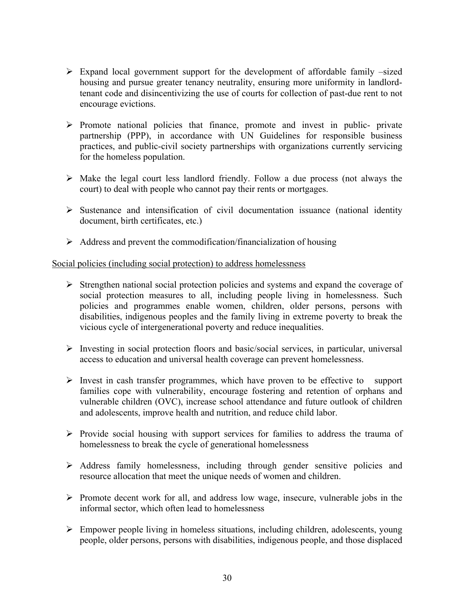- $\triangleright$  Expand local government support for the development of affordable family –sized housing and pursue greater tenancy neutrality, ensuring more uniformity in landlordtenant code and disincentivizing the use of courts for collection of past-due rent to not encourage evictions.
- $\triangleright$  Promote national policies that finance, promote and invest in public- private partnership (PPP), in accordance with UN Guidelines for responsible business practices, and public-civil society partnerships with organizations currently servicing for the homeless population.
- $\triangleright$  Make the legal court less landlord friendly. Follow a due process (not always the court) to deal with people who cannot pay their rents or mortgages.
- $\triangleright$  Sustenance and intensification of civil documentation issuance (national identity document, birth certificates, etc.)
- $\triangleright$  Address and prevent the commodification/financialization of housing

### Social policies (including social protection) to address homelessness

- $\triangleright$  Strengthen national social protection policies and systems and expand the coverage of social protection measures to all, including people living in homelessness. Such policies and programmes enable women, children, older persons, persons with disabilities, indigenous peoples and the family living in extreme poverty to break the vicious cycle of intergenerational poverty and reduce inequalities.
- $\triangleright$  Investing in social protection floors and basic/social services, in particular, universal access to education and universal health coverage can prevent homelessness.
- $\triangleright$  Invest in cash transfer programmes, which have proven to be effective to support families cope with vulnerability, encourage fostering and retention of orphans and vulnerable children (OVC), increase school attendance and future outlook of children and adolescents, improve health and nutrition, and reduce child labor.
- $\triangleright$  Provide social housing with support services for families to address the trauma of homelessness to break the cycle of generational homelessness
- $\triangleright$  Address family homelessness, including through gender sensitive policies and resource allocation that meet the unique needs of women and children.
- $\triangleright$  Promote decent work for all, and address low wage, insecure, vulnerable jobs in the informal sector, which often lead to homelessness
- Empower people living in homeless situations, including children, adolescents, young people, older persons, persons with disabilities, indigenous people, and those displaced